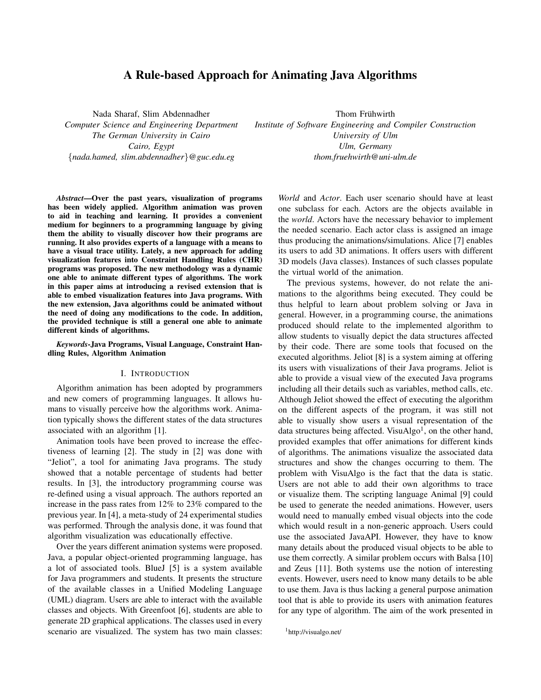# A Rule-based Approach for Animating Java Algorithms

Nada Sharaf, Slim Abdennadher *Computer Science and Engineering Department The German University in Cairo Cairo, Egypt* {*nada.hamed, slim.abdennadher*}*@guc.edu.eg*

*Abstract*—Over the past years, visualization of programs has been widely applied. Algorithm animation was proven to aid in teaching and learning. It provides a convenient medium for beginners to a programming language by giving them the ability to visually discover how their programs are running. It also provides experts of a language with a means to have a visual trace utility. Lately, a new approach for adding visualization features into Constraint Handling Rules (CHR) programs was proposed. The new methodology was a dynamic one able to animate different types of algorithms. The work in this paper aims at introducing a revised extension that is able to embed visualization features into Java programs. With the new extension, Java algorithms could be animated without the need of doing any modifications to the code. In addition, the provided technique is still a general one able to animate different kinds of algorithms.

*Keywords*-Java Programs, Visual Language, Constraint Handling Rules, Algorithm Animation

#### I. INTRODUCTION

Algorithm animation has been adopted by programmers and new comers of programming languages. It allows humans to visually perceive how the algorithms work. Animation typically shows the different states of the data structures associated with an algorithm [1].

Animation tools have been proved to increase the effectiveness of learning [2]. The study in [2] was done with "Jeliot", a tool for animating Java programs. The study showed that a notable percentage of students had better results. In [3], the introductory programming course was re-defined using a visual approach. The authors reported an increase in the pass rates from 12% to 23% compared to the previous year. In [4], a meta-study of 24 experimental studies was performed. Through the analysis done, it was found that algorithm visualization was educationally effective.

Over the years different animation systems were proposed. Java, a popular object-oriented programming language, has a lot of associated tools. BlueJ [5] is a system available for Java programmers and students. It presents the structure of the available classes in a Unified Modeling Language (UML) diagram. Users are able to interact with the available classes and objects. With Greenfoot [6], students are able to generate 2D graphical applications. The classes used in every scenario are visualized. The system has two main classes:

Thom Frühwirth *Institute of Software Engineering and Compiler Construction University of Ulm Ulm, Germany thom.fruehwirth@uni-ulm.de*

> *World* and *Actor*. Each user scenario should have at least one subclass for each. Actors are the objects available in the *world*. Actors have the necessary behavior to implement the needed scenario. Each actor class is assigned an image thus producing the animations/simulations. Alice [7] enables its users to add 3D animations. It offers users with different 3D models (Java classes). Instances of such classes populate the virtual world of the animation.

> The previous systems, however, do not relate the animations to the algorithms being executed. They could be thus helpful to learn about problem solving or Java in general. However, in a programming course, the animations produced should relate to the implemented algorithm to allow students to visually depict the data structures affected by their code. There are some tools that focused on the executed algorithms. Jeliot [8] is a system aiming at offering its users with visualizations of their Java programs. Jeliot is able to provide a visual view of the executed Java programs including all their details such as variables, method calls, etc. Although Jeliot showed the effect of executing the algorithm on the different aspects of the program, it was still not able to visually show users a visual representation of the data structures being affected. VisuAlgo<sup>1</sup>, on the other hand, provided examples that offer animations for different kinds of algorithms. The animations visualize the associated data structures and show the changes occurring to them. The problem with VisuAlgo is the fact that the data is static. Users are not able to add their own algorithms to trace or visualize them. The scripting language Animal [9] could be used to generate the needed animations. However, users would need to manually embed visual objects into the code which would result in a non-generic approach. Users could use the associated JavaAPI. However, they have to know many details about the produced visual objects to be able to use them correctly. A similar problem occurs with Balsa [10] and Zeus [11]. Both systems use the notion of interesting events. However, users need to know many details to be able to use them. Java is thus lacking a general purpose animation tool that is able to provide its users with animation features for any type of algorithm. The aim of the work presented in

<sup>1</sup>http://visualgo.net/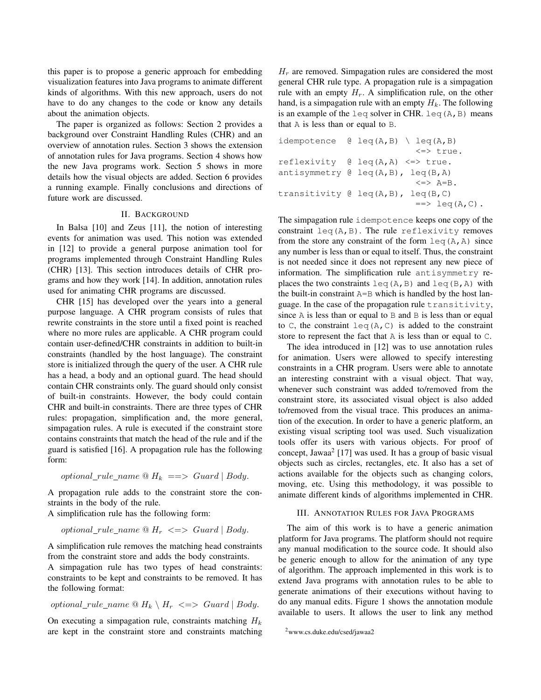this paper is to propose a generic approach for embedding visualization features into Java programs to animate different kinds of algorithms. With this new approach, users do not have to do any changes to the code or know any details about the animation objects.

The paper is organized as follows: Section 2 provides a background over Constraint Handling Rules (CHR) and an overview of annotation rules. Section 3 shows the extension of annotation rules for Java programs. Section 4 shows how the new Java programs work. Section 5 shows in more details how the visual objects are added. Section 6 provides a running example. Finally conclusions and directions of future work are discussed.

## II. BACKGROUND

In Balsa [10] and Zeus [11], the notion of interesting events for animation was used. This notion was extended in [12] to provide a general purpose animation tool for programs implemented through Constraint Handling Rules (CHR) [13]. This section introduces details of CHR programs and how they work [14]. In addition, annotation rules used for animating CHR programs are discussed.

CHR [15] has developed over the years into a general purpose language. A CHR program consists of rules that rewrite constraints in the store until a fixed point is reached where no more rules are applicable. A CHR program could contain user-defined/CHR constraints in addition to built-in constraints (handled by the host language). The constraint store is initialized through the query of the user. A CHR rule has a head, a body and an optional guard. The head should contain CHR constraints only. The guard should only consist of built-in constraints. However, the body could contain CHR and built-in constraints. There are three types of CHR rules: propagation, simplification and, the more general, simpagation rules. A rule is executed if the constraint store contains constraints that match the head of the rule and if the guard is satisfied [16]. A propagation rule has the following form:

$$
optional\_rule\_name \ @ \ H_k \ == > \; Guard \ | \ Body.
$$

A propagation rule adds to the constraint store the constraints in the body of the rule.

A simplification rule has the following form:

```
optional_rule_name \mathcal{Q} H<sub>r</sub> <=> Guard | Body.
```
A simplification rule removes the matching head constraints from the constraint store and adds the body constraints.

A simpagation rule has two types of head constraints: constraints to be kept and constraints to be removed. It has the following format:

$$
optional\_rule\_name \ @ \ H_k \setminus H_r \ \ \text{<=>} \ \ \text{Guard} \ | \ \ \text{Body.}
$$

On executing a simpagation rule, constraints matching  $H_k$ are kept in the constraint store and constraints matching  $H_r$  are removed. Simpagation rules are considered the most general CHR rule type. A propagation rule is a simpagation rule with an empty  $H_r$ . A simplification rule, on the other hand, is a simpagation rule with an empty  $H_k$ . The following is an example of the leq solver in CHR. leq( $A$ ,  $B$ ) means that A is less than or equal to B.

```
idempotence \theta leq(A,B) \setminus leq(A,B)
                                 <=> true.
reflexivity \theta leq(A,A) <=> true.
antisymmetry \theta leq(A, B), leq(B,A)
                                 \leftarrow > A=B.
transitivity @ leq(A,B), leq(B,C)
                                 \Rightarrow leq(A,C).
```
The simpagation rule idempotence keeps one copy of the constraint  $leq(A, B)$ . The rule reflexivity removes from the store any constraint of the form  $\text{leg}(A, A)$  since any number is less than or equal to itself. Thus, the constraint is not needed since it does not represent any new piece of information. The simplification rule antisymmetry replaces the two constraints  $\text{leg}(A, B)$  and  $\text{leg}(B, A)$  with the built-in constraint A=B which is handled by the host language. In the case of the propagation rule transitivity, since  $A$  is less than or equal to  $B$  and  $B$  is less than or equal to C, the constraint  $\text{leg}(A, C)$  is added to the constraint store to represent the fact that A is less than or equal to C.

The idea introduced in [12] was to use annotation rules for animation. Users were allowed to specify interesting constraints in a CHR program. Users were able to annotate an interesting constraint with a visual object. That way, whenever such constraint was added to/removed from the constraint store, its associated visual object is also added to/removed from the visual trace. This produces an animation of the execution. In order to have a generic platform, an existing visual scripting tool was used. Such visualization tools offer its users with various objects. For proof of concept, Jawaa<sup>2</sup> [17] was used. It has a group of basic visual objects such as circles, rectangles, etc. It also has a set of actions available for the objects such as changing colors, moving, etc. Using this methodology, it was possible to animate different kinds of algorithms implemented in CHR.

## III. ANNOTATION RULES FOR JAVA PROGRAMS

The aim of this work is to have a generic animation platform for Java programs. The platform should not require any manual modification to the source code. It should also be generic enough to allow for the animation of any type of algorithm. The approach implemented in this work is to extend Java programs with annotation rules to be able to generate animations of their executions without having to do any manual edits. Figure 1 shows the annotation module available to users. It allows the user to link any method

<sup>2</sup>www.cs.duke.edu/csed/jawaa2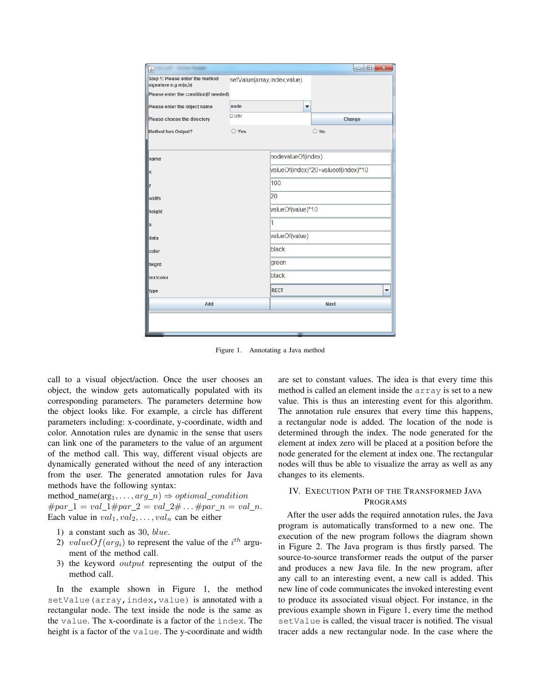| 鸟                                                       |                             |                                     | $\mathbf{x}$<br>$\Box$<br>$\blacksquare$ |  |  |  |  |  |
|---------------------------------------------------------|-----------------------------|-------------------------------------|------------------------------------------|--|--|--|--|--|
| Step 1: Please enter the method<br>signature e.g m(a,b) | setValue(array,index,value) |                                     |                                          |  |  |  |  |  |
| Please enter the condition(if needed)                   |                             |                                     |                                          |  |  |  |  |  |
| Please enter the object name                            | node                        | ▼                                   |                                          |  |  |  |  |  |
| Please choose the directory                             | D:\chr                      |                                     | Change                                   |  |  |  |  |  |
| <b>Mathod has Output?</b>                               | ◯ Yes                       |                                     | $\bigcirc$ No                            |  |  |  |  |  |
|                                                         |                             |                                     |                                          |  |  |  |  |  |
| name                                                    |                             | nodevalueOf(index)                  |                                          |  |  |  |  |  |
| x                                                       |                             | valueOf(index)*20+valueof(index)*10 |                                          |  |  |  |  |  |
|                                                         |                             | 100                                 |                                          |  |  |  |  |  |
| width                                                   |                             | 20                                  |                                          |  |  |  |  |  |
| height                                                  |                             | valueOf(value)*10                   |                                          |  |  |  |  |  |
| In                                                      |                             | 1                                   |                                          |  |  |  |  |  |
| data                                                    |                             | valueOf(value)                      |                                          |  |  |  |  |  |
| color                                                   |                             | black                               |                                          |  |  |  |  |  |
| bkgrd                                                   |                             | green                               |                                          |  |  |  |  |  |
| textcolor                                               |                             | black                               |                                          |  |  |  |  |  |
| type                                                    |                             | <b>RECT</b>                         | ▼                                        |  |  |  |  |  |
| Add                                                     |                             | <b>Next</b>                         |                                          |  |  |  |  |  |
|                                                         |                             |                                     |                                          |  |  |  |  |  |
|                                                         |                             |                                     |                                          |  |  |  |  |  |

Figure 1. Annotating a Java method

call to a visual object/action. Once the user chooses an object, the window gets automatically populated with its corresponding parameters. The parameters determine how the object looks like. For example, a circle has different parameters including: x-coordinate, y-coordinate, width and color. Annotation rules are dynamic in the sense that users can link one of the parameters to the value of an argument of the method call. This way, different visual objects are dynamically generated without the need of any interaction from the user. The generated annotation rules for Java methods have the following syntax:

method\_name( $arg_1, \ldots, arg_n$ )  $\Rightarrow$  optional\_condition  $\#par\_1 = val\_1\#par\_2 = val\_2\# \dots \#par\_n = val\_n.$ Each value in  $val_1, val_2, \ldots, val_n$  can be either

- 1) a constant such as 30, blue.
- 2) value $Of(arg_i)$  to represent the value of the  $i^{th}$  argument of the method call.
- 3) the keyword output representing the output of the method call.

In the example shown in Figure 1, the method setValue(array, index, value) is annotated with a rectangular node. The text inside the node is the same as the value. The x-coordinate is a factor of the index. The height is a factor of the value. The y-coordinate and width are set to constant values. The idea is that every time this method is called an element inside the array is set to a new value. This is thus an interesting event for this algorithm. The annotation rule ensures that every time this happens, a rectangular node is added. The location of the node is determined through the index. The node generated for the element at index zero will be placed at a position before the node generated for the element at index one. The rectangular nodes will thus be able to visualize the array as well as any changes to its elements.

# IV. EXECUTION PATH OF THE TRANSFORMED JAVA PROGRAMS

After the user adds the required annotation rules, the Java program is automatically transformed to a new one. The execution of the new program follows the diagram shown in Figure 2. The Java program is thus firstly parsed. The source-to-source transformer reads the output of the parser and produces a new Java file. In the new program, after any call to an interesting event, a new call is added. This new line of code communicates the invoked interesting event to produce its associated visual object. For instance, in the previous example shown in Figure 1, every time the method setValue is called, the visual tracer is notified. The visual tracer adds a new rectangular node. In the case where the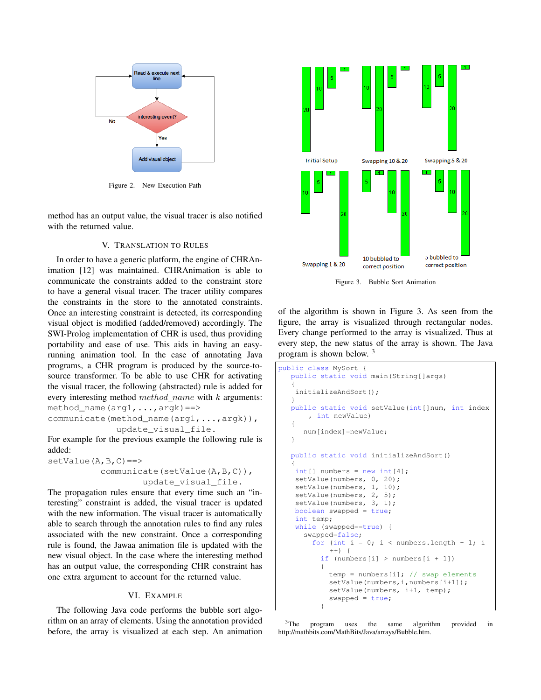

Figure 2. New Execution Path

method has an output value, the visual tracer is also notified with the returned value.

### V. TRANSLATION TO RULES

In order to have a generic platform, the engine of CHRAnimation [12] was maintained. CHRAnimation is able to communicate the constraints added to the constraint store to have a general visual tracer. The tracer utility compares the constraints in the store to the annotated constraints. Once an interesting constraint is detected, its corresponding visual object is modified (added/removed) accordingly. The SWI-Prolog implementation of CHR is used, thus providing portability and ease of use. This aids in having an easyrunning animation tool. In the case of annotating Java programs, a CHR program is produced by the source-tosource transformer. To be able to use CHR for activating the visual tracer, the following (abstracted) rule is added for every interesting method  $method\_name$  with  $k$  arguments: method\_name(arg1,...,argk)==>

```
communicate(method_name(arg1,...,argk)),
             update visual file.
```
For example for the previous example the following rule is added:

```
setValue(A, B, C) ==>
          communicate(setValue(A,B,C)),
                   update_visual_file.
```
The propagation rules ensure that every time such an "interesting" constraint is added, the visual tracer is updated with the new information. The visual tracer is automatically able to search through the annotation rules to find any rules associated with the new constraint. Once a corresponding rule is found, the Jawaa animation file is updated with the new visual object. In the case where the interesting method has an output value, the corresponding CHR constraint has one extra argument to account for the returned value.

### VI. EXAMPLE

The following Java code performs the bubble sort algorithm on an array of elements. Using the annotation provided before, the array is visualized at each step. An animation



Figure 3. Bubble Sort Animation

of the algorithm is shown in Figure 3. As seen from the figure, the array is visualized through rectangular nodes. Every change performed to the array is visualized. Thus at every step, the new status of the array is shown. The Java program is shown below. <sup>3</sup>

```
public class MySort {
  public static void main(String[]args)
   {
   initializeAndSort();
   }
  public static void setValue(int[]num, int index
       , int newValue)
   {
     num[index]=newValue;
  }
  public static void initializeAndSort()
   {
   int[] numbers = new int[4];
   setValue(numbers, 0, 20);
   setValue(numbers, 1, 10);
   setValue(numbers, 2, 5);
   setValue(numbers, 3, 1);
   boolean swapped = true;
   int temp;
   while (swapped==true) {
     swapped=false;
        for (int i = 0; i < numbers.length - 1; i
            ++) {
          if (numbers[i] > numbers[i + 1])
          {
            temp = numbers[i]; // swap elements
            setValue(numbers,i,numbers[i+1]);
            setValue(numbers, i+1, temp);
            swapped = true;
          }
```
<sup>3</sup>The program uses the same algorithm provided in http://mathbits.com/MathBits/Java/arrays/Bubble.htm.